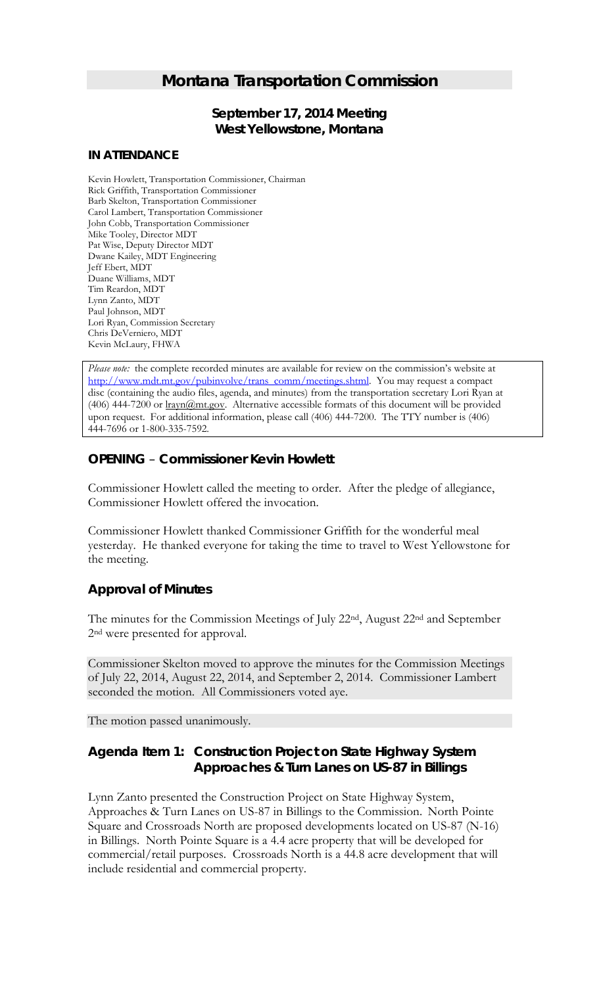# *Montana Transportation Commission*

## *September 17, 2014 Meeting* **West Yellowstone, Montana**

#### **IN ATTENDANCE**

Kevin Howlett, Transportation Commissioner, Chairman Rick Griffith, Transportation Commissioner Barb Skelton, Transportation Commissioner Carol Lambert, Transportation Commissioner John Cobb, Transportation Commissioner Mike Tooley, Director MDT Pat Wise, Deputy Director MDT Dwane Kailey, MDT Engineering Jeff Ebert, MDT Duane Williams, MDT Tim Reardon, MDT Lynn Zanto, MDT Paul Johnson, MDT Lori Ryan, Commission Secretary Chris DeVerniero, MDT Kevin McLaury, FHWA

*Please note:* the complete recorded minutes are available for review on the commission's website at [http://www.mdt.mt.gov/pubinvolve/trans\\_comm/meetings.shtml.](http://www.mdt.mt.gov/pubinvolve/trans_comm/meetings.shtml) You may request a compact disc (containing the audio files, agenda, and minutes) from the transportation secretary Lori Ryan at (406) 444-7200 or  $\frac{\text{trayn}(\partial \text{m}t.gov)}{\text{m}t.gov}$ . Alternative accessible formats of this document will be provided upon request. For additional information, please call (406) 444-7200. The TTY number is (406) 444-7696 or 1-800-335-7592.

### *OPENING – Commissioner Kevin Howlett*

Commissioner Howlett called the meeting to order. After the pledge of allegiance, Commissioner Howlett offered the invocation.

Commissioner Howlett thanked Commissioner Griffith for the wonderful meal yesterday. He thanked everyone for taking the time to travel to West Yellowstone for the meeting.

## *Approval of Minutes*

The minutes for the Commission Meetings of July 22nd, August 22nd and September 2nd were presented for approval.

Commissioner Skelton moved to approve the minutes for the Commission Meetings of July 22, 2014, August 22, 2014, and September 2, 2014. Commissioner Lambert seconded the motion. All Commissioners voted aye.

The motion passed unanimously.

## *Agenda Item 1: Construction Project on State Highway System Approaches & Turn Lanes on US-87 in Billings*

Lynn Zanto presented the Construction Project on State Highway System, Approaches & Turn Lanes on US-87 in Billings to the Commission. North Pointe Square and Crossroads North are proposed developments located on US-87 (N-16) in Billings. North Pointe Square is a 4.4 acre property that will be developed for commercial/retail purposes. Crossroads North is a 44.8 acre development that will include residential and commercial property.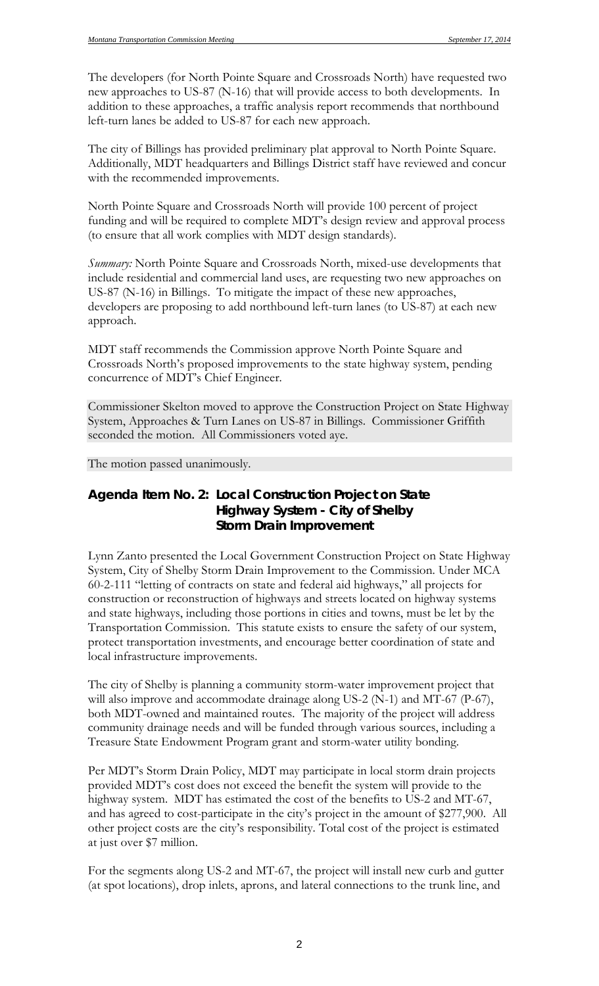The developers (for North Pointe Square and Crossroads North) have requested two new approaches to US-87 (N-16) that will provide access to both developments. In addition to these approaches, a traffic analysis report recommends that northbound left-turn lanes be added to US-87 for each new approach.

The city of Billings has provided preliminary plat approval to North Pointe Square. Additionally, MDT headquarters and Billings District staff have reviewed and concur with the recommended improvements.

North Pointe Square and Crossroads North will provide 100 percent of project funding and will be required to complete MDT's design review and approval process (to ensure that all work complies with MDT design standards).

*Summary:* North Pointe Square and Crossroads North, mixed-use developments that include residential and commercial land uses, are requesting two new approaches on US-87 (N-16) in Billings. To mitigate the impact of these new approaches, developers are proposing to add northbound left-turn lanes (to US-87) at each new approach.

MDT staff recommends the Commission approve North Pointe Square and Crossroads North's proposed improvements to the state highway system, pending concurrence of MDT's Chief Engineer.

Commissioner Skelton moved to approve the Construction Project on State Highway System, Approaches & Turn Lanes on US-87 in Billings. Commissioner Griffith seconded the motion. All Commissioners voted aye.

The motion passed unanimously.

## *Agenda Item No. 2: Local Construction Project on State Highway System - City of Shelby Storm Drain Improvement*

Lynn Zanto presented the Local Government Construction Project on State Highway System, City of Shelby Storm Drain Improvement to the Commission. Under MCA 60-2-111 "letting of contracts on state and federal aid highways," all projects for construction or reconstruction of highways and streets located on highway systems and state highways, including those portions in cities and towns, must be let by the Transportation Commission. This statute exists to ensure the safety of our system, protect transportation investments, and encourage better coordination of state and local infrastructure improvements.

The city of Shelby is planning a community storm-water improvement project that will also improve and accommodate drainage along US-2 (N-1) and MT-67 (P-67), both MDT-owned and maintained routes. The majority of the project will address community drainage needs and will be funded through various sources, including a Treasure State Endowment Program grant and storm-water utility bonding.

Per MDT's Storm Drain Policy, MDT may participate in local storm drain projects provided MDT's cost does not exceed the benefit the system will provide to the highway system. MDT has estimated the cost of the benefits to US-2 and MT-67, and has agreed to cost-participate in the city's project in the amount of \$277,900. All other project costs are the city's responsibility. Total cost of the project is estimated at just over \$7 million.

For the segments along US-2 and MT-67, the project will install new curb and gutter (at spot locations), drop inlets, aprons, and lateral connections to the trunk line, and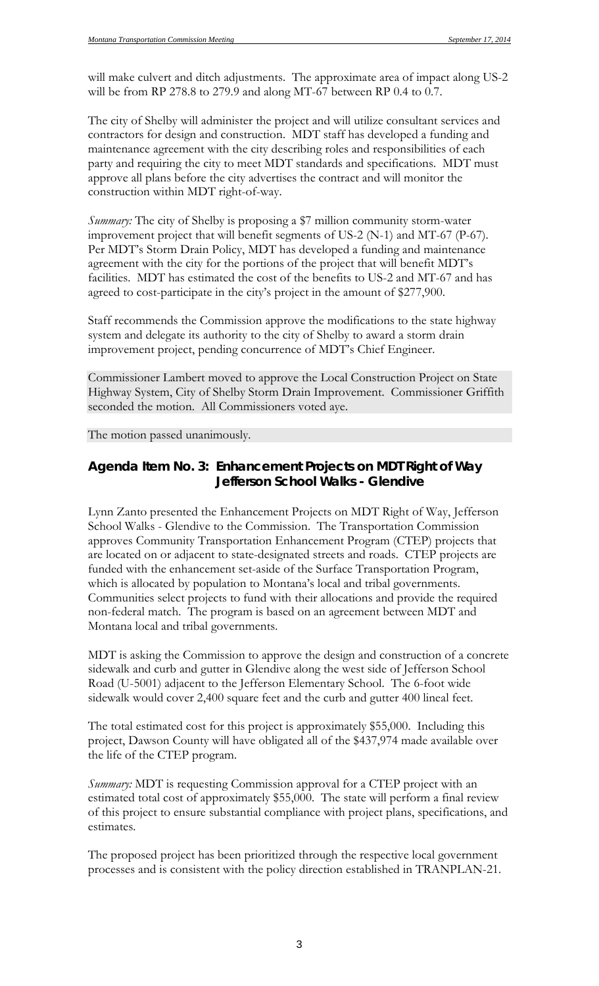will make culvert and ditch adjustments. The approximate area of impact along US-2 will be from RP 278.8 to 279.9 and along MT-67 between RP 0.4 to 0.7.

The city of Shelby will administer the project and will utilize consultant services and contractors for design and construction. MDT staff has developed a funding and maintenance agreement with the city describing roles and responsibilities of each party and requiring the city to meet MDT standards and specifications. MDT must approve all plans before the city advertises the contract and will monitor the construction within MDT right-of-way.

*Summary:* The city of Shelby is proposing a \$7 million community storm-water improvement project that will benefit segments of US-2 (N-1) and MT-67 (P-67). Per MDT's Storm Drain Policy, MDT has developed a funding and maintenance agreement with the city for the portions of the project that will benefit MDT's facilities. MDT has estimated the cost of the benefits to US-2 and MT-67 and has agreed to cost-participate in the city's project in the amount of \$277,900.

Staff recommends the Commission approve the modifications to the state highway system and delegate its authority to the city of Shelby to award a storm drain improvement project, pending concurrence of MDT's Chief Engineer.

Commissioner Lambert moved to approve the Local Construction Project on State Highway System, City of Shelby Storm Drain Improvement. Commissioner Griffith seconded the motion. All Commissioners voted aye.

The motion passed unanimously.

### *Agenda Item No. 3: Enhancement Projects on MDT Right of Way Jefferson School Walks - Glendive*

Lynn Zanto presented the Enhancement Projects on MDT Right of Way, Jefferson School Walks - Glendive to the Commission. The Transportation Commission approves Community Transportation Enhancement Program (CTEP) projects that are located on or adjacent to state-designated streets and roads. CTEP projects are funded with the enhancement set-aside of the Surface Transportation Program, which is allocated by population to Montana's local and tribal governments. Communities select projects to fund with their allocations and provide the required non-federal match. The program is based on an agreement between MDT and Montana local and tribal governments.

MDT is asking the Commission to approve the design and construction of a concrete sidewalk and curb and gutter in Glendive along the west side of Jefferson School Road (U-5001) adjacent to the Jefferson Elementary School. The 6-foot wide sidewalk would cover 2,400 square feet and the curb and gutter 400 lineal feet.

The total estimated cost for this project is approximately \$55,000. Including this project, Dawson County will have obligated all of the \$437,974 made available over the life of the CTEP program.

*Summary:* MDT is requesting Commission approval for a CTEP project with an estimated total cost of approximately \$55,000. The state will perform a final review of this project to ensure substantial compliance with project plans, specifications, and estimates.

The proposed project has been prioritized through the respective local government processes and is consistent with the policy direction established in TRANPLAN-21.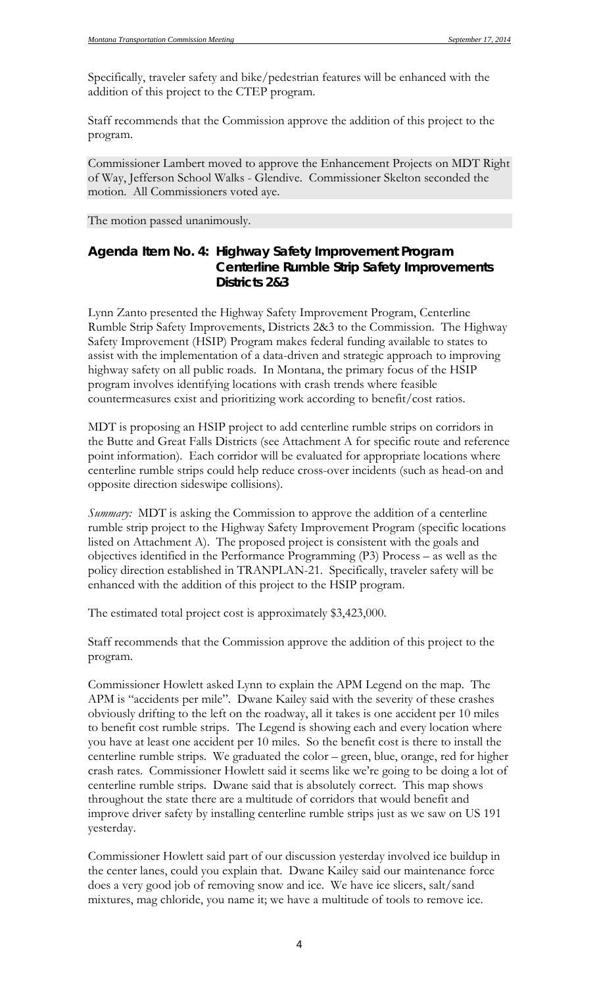Specifically, traveler safety and bike/pedestrian features will be enhanced with the addition of this project to the CTEP program.

Staff recommends that the Commission approve the addition of this project to the program.

Commissioner Lambert moved to approve the Enhancement Projects on MDT Right of Way, Jefferson School Walks - Glendive. Commissioner Skelton seconded the motion. All Commissioners voted aye.

The motion passed unanimously.

### *Agenda Item No. 4: Highway Safety Improvement Program Centerline Rumble Strip Safety Improvements Districts 2&3*

Lynn Zanto presented the Highway Safety Improvement Program, Centerline Rumble Strip Safety Improvements, Districts 2&3 to the Commission. The Highway Safety Improvement (HSIP) Program makes federal funding available to states to assist with the implementation of a data-driven and strategic approach to improving highway safety on all public roads. In Montana, the primary focus of the HSIP program involves identifying locations with crash trends where feasible countermeasures exist and prioritizing work according to benefit/cost ratios.

MDT is proposing an HSIP project to add centerline rumble strips on corridors in the Butte and Great Falls Districts (see Attachment A for specific route and reference point information). Each corridor will be evaluated for appropriate locations where centerline rumble strips could help reduce cross-over incidents (such as head-on and opposite direction sideswipe collisions).

*Summary:* MDT is asking the Commission to approve the addition of a centerline rumble strip project to the Highway Safety Improvement Program (specific locations listed on Attachment A). The proposed project is consistent with the goals and objectives identified in the Performance Programming (P3) Process – as well as the policy direction established in TRANPLAN-21. Specifically, traveler safety will be enhanced with the addition of this project to the HSIP program.

The estimated total project cost is approximately \$3,423,000.

Staff recommends that the Commission approve the addition of this project to the program.

Commissioner Howlett asked Lynn to explain the APM Legend on the map. The APM is "accidents per mile". Dwane Kailey said with the severity of these crashes obviously drifting to the left on the roadway, all it takes is one accident per 10 miles to benefit cost rumble strips. The Legend is showing each and every location where you have at least one accident per 10 miles. So the benefit cost is there to install the centerline rumble strips. We graduated the color – green, blue, orange, red for higher crash rates. Commissioner Howlett said it seems like we're going to be doing a lot of centerline rumble strips. Dwane said that is absolutely correct. This map shows throughout the state there are a multitude of corridors that would benefit and improve driver safety by installing centerline rumble strips just as we saw on US 191 yesterday.

Commissioner Howlett said part of our discussion yesterday involved ice buildup in the center lanes, could you explain that. Dwane Kailey said our maintenance force does a very good job of removing snow and ice. We have ice slicers, salt/sand mixtures, mag chloride, you name it; we have a multitude of tools to remove ice.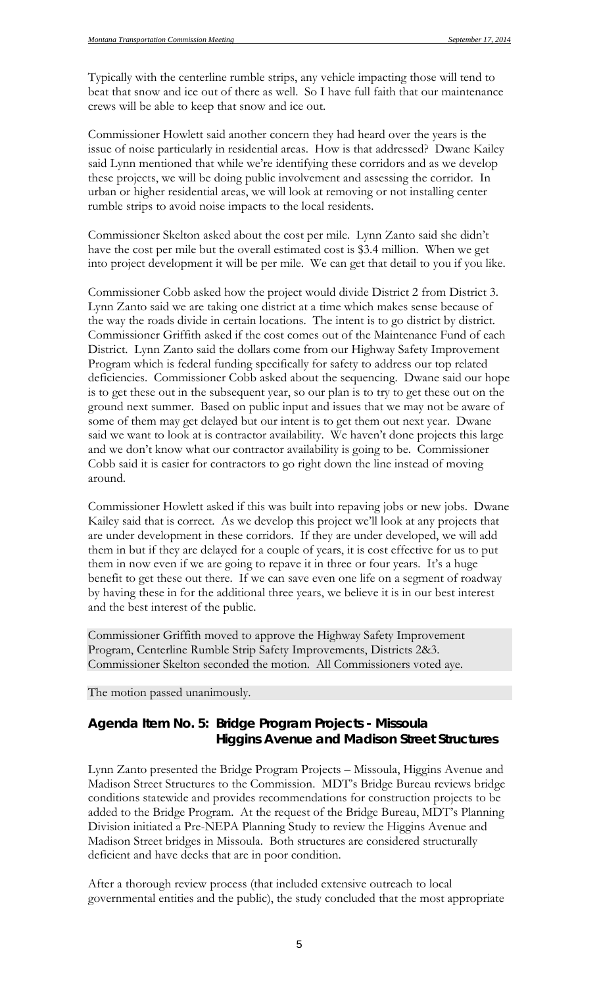Typically with the centerline rumble strips, any vehicle impacting those will tend to beat that snow and ice out of there as well. So I have full faith that our maintenance crews will be able to keep that snow and ice out.

Commissioner Howlett said another concern they had heard over the years is the issue of noise particularly in residential areas. How is that addressed? Dwane Kailey said Lynn mentioned that while we're identifying these corridors and as we develop these projects, we will be doing public involvement and assessing the corridor. In urban or higher residential areas, we will look at removing or not installing center rumble strips to avoid noise impacts to the local residents.

Commissioner Skelton asked about the cost per mile. Lynn Zanto said she didn't have the cost per mile but the overall estimated cost is \$3.4 million. When we get into project development it will be per mile. We can get that detail to you if you like.

Commissioner Cobb asked how the project would divide District 2 from District 3. Lynn Zanto said we are taking one district at a time which makes sense because of the way the roads divide in certain locations. The intent is to go district by district. Commissioner Griffith asked if the cost comes out of the Maintenance Fund of each District. Lynn Zanto said the dollars come from our Highway Safety Improvement Program which is federal funding specifically for safety to address our top related deficiencies. Commissioner Cobb asked about the sequencing. Dwane said our hope is to get these out in the subsequent year, so our plan is to try to get these out on the ground next summer. Based on public input and issues that we may not be aware of some of them may get delayed but our intent is to get them out next year. Dwane said we want to look at is contractor availability. We haven't done projects this large and we don't know what our contractor availability is going to be. Commissioner Cobb said it is easier for contractors to go right down the line instead of moving around.

Commissioner Howlett asked if this was built into repaving jobs or new jobs. Dwane Kailey said that is correct. As we develop this project we'll look at any projects that are under development in these corridors. If they are under developed, we will add them in but if they are delayed for a couple of years, it is cost effective for us to put them in now even if we are going to repave it in three or four years. It's a huge benefit to get these out there. If we can save even one life on a segment of roadway by having these in for the additional three years, we believe it is in our best interest and the best interest of the public.

Commissioner Griffith moved to approve the Highway Safety Improvement Program, Centerline Rumble Strip Safety Improvements, Districts 2&3. Commissioner Skelton seconded the motion. All Commissioners voted aye.

The motion passed unanimously.

# *Agenda Item No. 5: Bridge Program Projects - Missoula Higgins Avenue and Madison Street Structures*

Lynn Zanto presented the Bridge Program Projects – Missoula, Higgins Avenue and Madison Street Structures to the Commission. MDT's Bridge Bureau reviews bridge conditions statewide and provides recommendations for construction projects to be added to the Bridge Program. At the request of the Bridge Bureau, MDT's Planning Division initiated a Pre-NEPA Planning Study to review the Higgins Avenue and Madison Street bridges in Missoula. Both structures are considered structurally deficient and have decks that are in poor condition.

After a thorough review process (that included extensive outreach to local governmental entities and the public), the study concluded that the most appropriate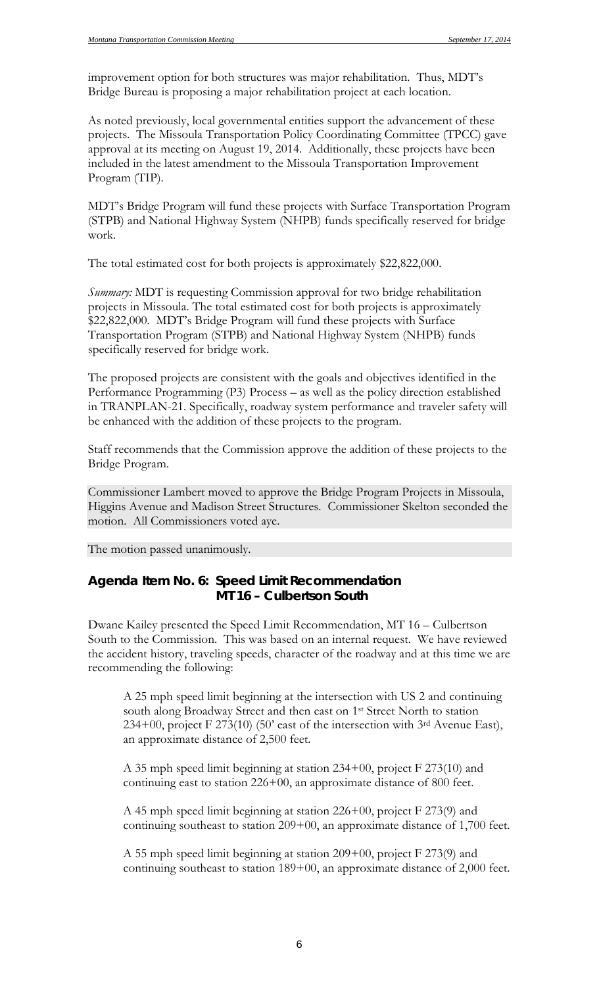improvement option for both structures was major rehabilitation. Thus, MDT's Bridge Bureau is proposing a major rehabilitation project at each location.

As noted previously, local governmental entities support the advancement of these projects. The Missoula Transportation Policy Coordinating Committee (TPCC) gave approval at its meeting on August 19, 2014. Additionally, these projects have been included in the latest amendment to the Missoula Transportation Improvement Program (TIP).

MDT's Bridge Program will fund these projects with Surface Transportation Program (STPB) and National Highway System (NHPB) funds specifically reserved for bridge work.

The total estimated cost for both projects is approximately \$22,822,000.

*Summary:* MDT is requesting Commission approval for two bridge rehabilitation projects in Missoula. The total estimated cost for both projects is approximately \$22,822,000. MDT's Bridge Program will fund these projects with Surface Transportation Program (STPB) and National Highway System (NHPB) funds specifically reserved for bridge work.

The proposed projects are consistent with the goals and objectives identified in the Performance Programming (P3) Process – as well as the policy direction established in TRANPLAN-21. Specifically, roadway system performance and traveler safety will be enhanced with the addition of these projects to the program.

Staff recommends that the Commission approve the addition of these projects to the Bridge Program.

Commissioner Lambert moved to approve the Bridge Program Projects in Missoula, Higgins Avenue and Madison Street Structures. Commissioner Skelton seconded the motion. All Commissioners voted aye.

The motion passed unanimously.

### *Agenda Item No. 6: Speed Limit Recommendation MT 16 – Culbertson South*

Dwane Kailey presented the Speed Limit Recommendation, MT 16 – Culbertson South to the Commission. This was based on an internal request. We have reviewed the accident history, traveling speeds, character of the roadway and at this time we are recommending the following:

A 25 mph speed limit beginning at the intersection with US 2 and continuing south along Broadway Street and then east on 1<sup>st</sup> Street North to station  $234+00$ , project F 273(10) (50' east of the intersection with 3<sup>rd</sup> Avenue East), an approximate distance of 2,500 feet.

A 35 mph speed limit beginning at station 234+00, project F 273(10) and continuing east to station 226+00, an approximate distance of 800 feet.

A 45 mph speed limit beginning at station 226+00, project F 273(9) and continuing southeast to station 209+00, an approximate distance of 1,700 feet.

A 55 mph speed limit beginning at station 209+00, project F 273(9) and continuing southeast to station 189+00, an approximate distance of 2,000 feet.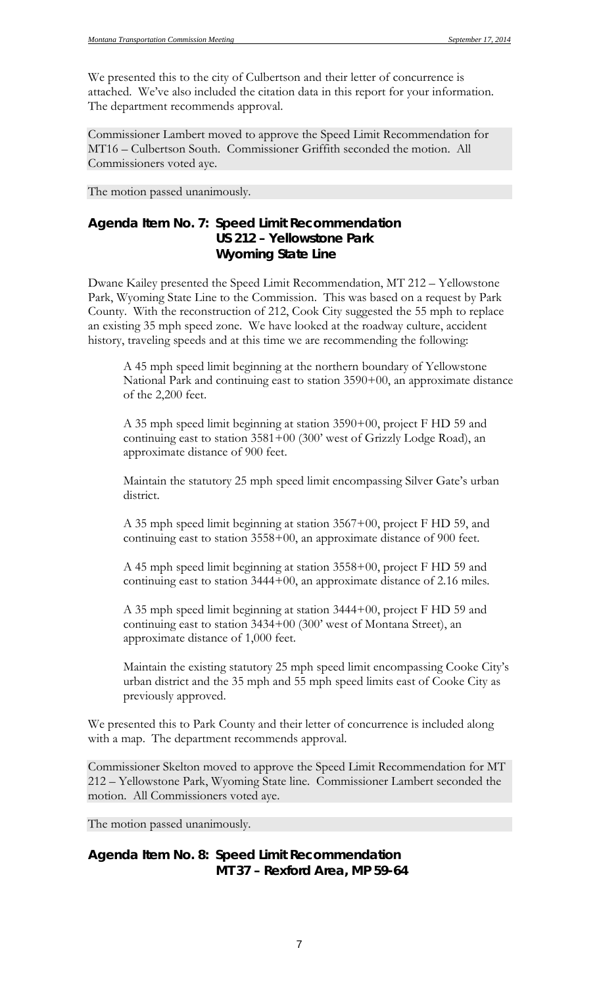We presented this to the city of Culbertson and their letter of concurrence is attached. We've also included the citation data in this report for your information. The department recommends approval.

Commissioner Lambert moved to approve the Speed Limit Recommendation for MT16 – Culbertson South. Commissioner Griffith seconded the motion. All Commissioners voted aye.

The motion passed unanimously.

### *Agenda Item No. 7: Speed Limit Recommendation US 212 – Yellowstone Park Wyoming State Line*

Dwane Kailey presented the Speed Limit Recommendation, MT 212 – Yellowstone Park, Wyoming State Line to the Commission. This was based on a request by Park County. With the reconstruction of 212, Cook City suggested the 55 mph to replace an existing 35 mph speed zone. We have looked at the roadway culture, accident history, traveling speeds and at this time we are recommending the following:

A 45 mph speed limit beginning at the northern boundary of Yellowstone National Park and continuing east to station 3590+00, an approximate distance of the 2,200 feet.

A 35 mph speed limit beginning at station 3590+00, project F HD 59 and continuing east to station 3581+00 (300' west of Grizzly Lodge Road), an approximate distance of 900 feet.

Maintain the statutory 25 mph speed limit encompassing Silver Gate's urban district.

A 35 mph speed limit beginning at station 3567+00, project F HD 59, and continuing east to station 3558+00, an approximate distance of 900 feet.

A 45 mph speed limit beginning at station 3558+00, project F HD 59 and continuing east to station 3444+00, an approximate distance of 2.16 miles.

A 35 mph speed limit beginning at station 3444+00, project F HD 59 and continuing east to station 3434+00 (300' west of Montana Street), an approximate distance of 1,000 feet.

Maintain the existing statutory 25 mph speed limit encompassing Cooke City's urban district and the 35 mph and 55 mph speed limits east of Cooke City as previously approved.

We presented this to Park County and their letter of concurrence is included along with a map. The department recommends approval.

Commissioner Skelton moved to approve the Speed Limit Recommendation for MT 212 – Yellowstone Park, Wyoming State line. Commissioner Lambert seconded the motion. All Commissioners voted aye.

The motion passed unanimously.

## *Agenda Item No. 8: Speed Limit Recommendation MT 37 – Rexford Area, MP 59-64*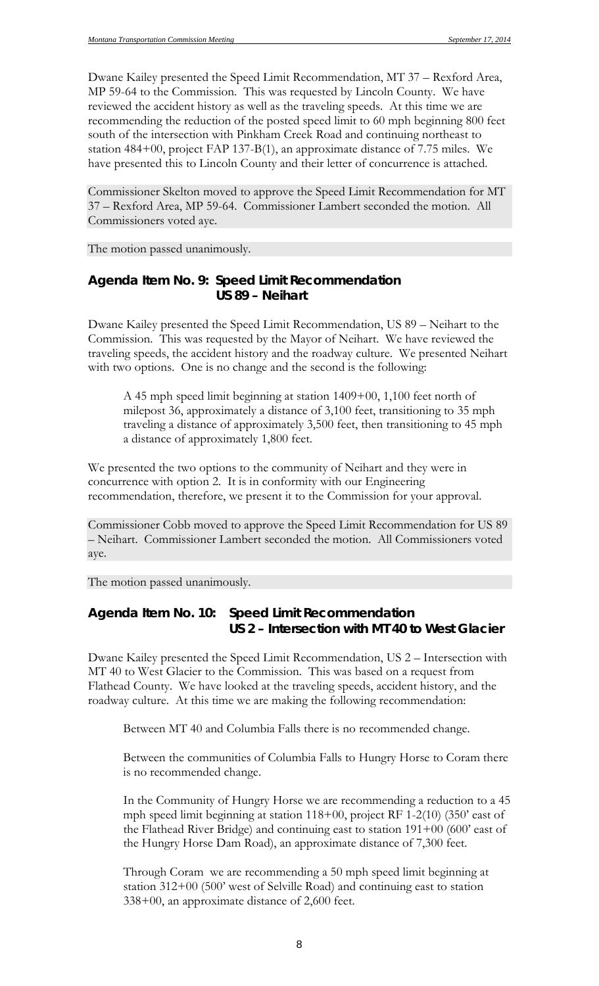Dwane Kailey presented the Speed Limit Recommendation, MT 37 – Rexford Area, MP 59-64 to the Commission. This was requested by Lincoln County. We have reviewed the accident history as well as the traveling speeds. At this time we are recommending the reduction of the posted speed limit to 60 mph beginning 800 feet south of the intersection with Pinkham Creek Road and continuing northeast to station 484+00, project FAP 137-B(1), an approximate distance of 7.75 miles. We have presented this to Lincoln County and their letter of concurrence is attached.

Commissioner Skelton moved to approve the Speed Limit Recommendation for MT 37 – Rexford Area, MP 59-64. Commissioner Lambert seconded the motion. All Commissioners voted aye.

The motion passed unanimously.

#### *Agenda Item No. 9: Speed Limit Recommendation US 89 – Neihart*

Dwane Kailey presented the Speed Limit Recommendation, US 89 – Neihart to the Commission. This was requested by the Mayor of Neihart. We have reviewed the traveling speeds, the accident history and the roadway culture. We presented Neihart with two options. One is no change and the second is the following:

A 45 mph speed limit beginning at station 1409+00, 1,100 feet north of milepost 36, approximately a distance of 3,100 feet, transitioning to 35 mph traveling a distance of approximately 3,500 feet, then transitioning to 45 mph a distance of approximately 1,800 feet.

We presented the two options to the community of Neihart and they were in concurrence with option 2. It is in conformity with our Engineering recommendation, therefore, we present it to the Commission for your approval.

Commissioner Cobb moved to approve the Speed Limit Recommendation for US 89 – Neihart. Commissioner Lambert seconded the motion. All Commissioners voted aye.

The motion passed unanimously.

### *Agenda Item No. 10: Speed Limit Recommendation US 2 – Intersection with MT 40 to West Glacier*

Dwane Kailey presented the Speed Limit Recommendation, US 2 – Intersection with MT 40 to West Glacier to the Commission. This was based on a request from Flathead County. We have looked at the traveling speeds, accident history, and the roadway culture. At this time we are making the following recommendation:

Between MT 40 and Columbia Falls there is no recommended change.

Between the communities of Columbia Falls to Hungry Horse to Coram there is no recommended change.

In the Community of Hungry Horse we are recommending a reduction to a 45 mph speed limit beginning at station 118+00, project RF 1-2(10) (350' east of the Flathead River Bridge) and continuing east to station 191+00 (600' east of the Hungry Horse Dam Road), an approximate distance of 7,300 feet.

Through Coram we are recommending a 50 mph speed limit beginning at station 312+00 (500' west of Selville Road) and continuing east to station 338+00, an approximate distance of 2,600 feet.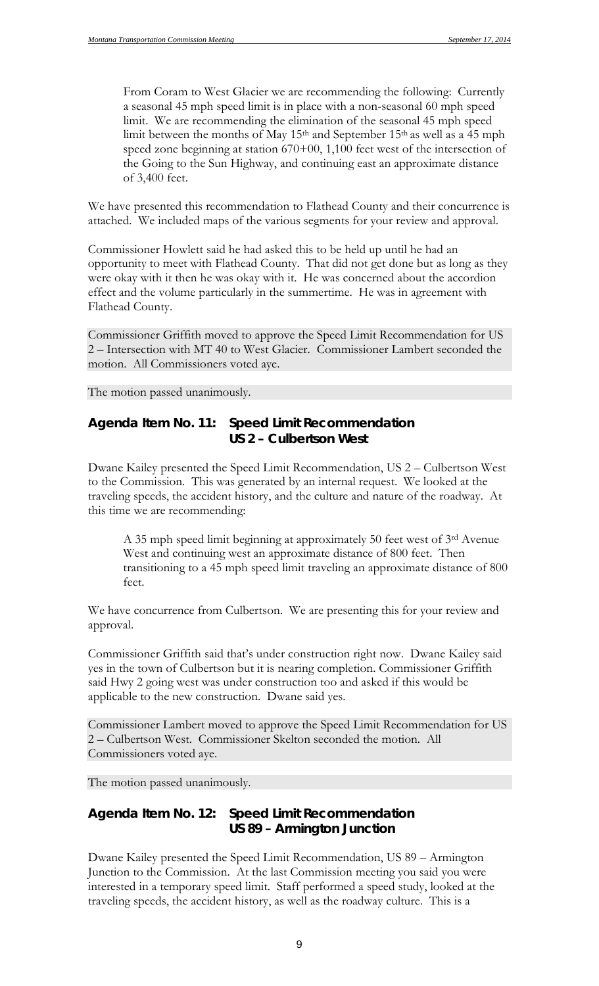From Coram to West Glacier we are recommending the following: Currently a seasonal 45 mph speed limit is in place with a non-seasonal 60 mph speed limit. We are recommending the elimination of the seasonal 45 mph speed limit between the months of May 15th and September 15th as well as a 45 mph speed zone beginning at station 670+00, 1,100 feet west of the intersection of the Going to the Sun Highway, and continuing east an approximate distance of 3,400 feet.

We have presented this recommendation to Flathead County and their concurrence is attached. We included maps of the various segments for your review and approval.

Commissioner Howlett said he had asked this to be held up until he had an opportunity to meet with Flathead County. That did not get done but as long as they were okay with it then he was okay with it. He was concerned about the accordion effect and the volume particularly in the summertime. He was in agreement with Flathead County.

Commissioner Griffith moved to approve the Speed Limit Recommendation for US 2 – Intersection with MT 40 to West Glacier. Commissioner Lambert seconded the motion. All Commissioners voted aye.

The motion passed unanimously.

### *Agenda Item No. 11: Speed Limit Recommendation US 2 – Culbertson West*

Dwane Kailey presented the Speed Limit Recommendation, US 2 – Culbertson West to the Commission. This was generated by an internal request. We looked at the traveling speeds, the accident history, and the culture and nature of the roadway. At this time we are recommending:

A 35 mph speed limit beginning at approximately 50 feet west of 3rd Avenue West and continuing west an approximate distance of 800 feet. Then transitioning to a 45 mph speed limit traveling an approximate distance of 800 feet.

We have concurrence from Culbertson. We are presenting this for your review and approval.

Commissioner Griffith said that's under construction right now. Dwane Kailey said yes in the town of Culbertson but it is nearing completion. Commissioner Griffith said Hwy 2 going west was under construction too and asked if this would be applicable to the new construction. Dwane said yes.

Commissioner Lambert moved to approve the Speed Limit Recommendation for US 2 – Culbertson West. Commissioner Skelton seconded the motion. All Commissioners voted aye.

The motion passed unanimously.

## *Agenda Item No. 12: Speed Limit Recommendation US 89 – Armington Junction*

Dwane Kailey presented the Speed Limit Recommendation, US 89 – Armington Junction to the Commission. At the last Commission meeting you said you were interested in a temporary speed limit. Staff performed a speed study, looked at the traveling speeds, the accident history, as well as the roadway culture. This is a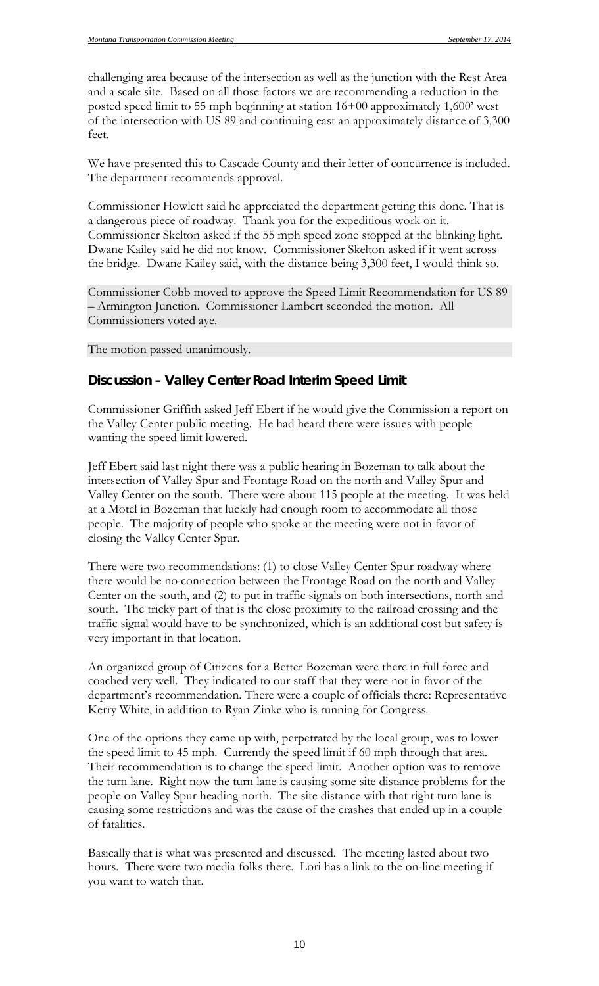challenging area because of the intersection as well as the junction with the Rest Area and a scale site. Based on all those factors we are recommending a reduction in the posted speed limit to 55 mph beginning at station 16+00 approximately 1,600' west of the intersection with US 89 and continuing east an approximately distance of 3,300 feet.

We have presented this to Cascade County and their letter of concurrence is included. The department recommends approval.

Commissioner Howlett said he appreciated the department getting this done. That is a dangerous piece of roadway. Thank you for the expeditious work on it. Commissioner Skelton asked if the 55 mph speed zone stopped at the blinking light. Dwane Kailey said he did not know. Commissioner Skelton asked if it went across the bridge. Dwane Kailey said, with the distance being 3,300 feet, I would think so.

Commissioner Cobb moved to approve the Speed Limit Recommendation for US 89 – Armington Junction. Commissioner Lambert seconded the motion. All Commissioners voted aye.

The motion passed unanimously.

#### **Discussion – Valley Center Road Interim Speed Limit**

Commissioner Griffith asked Jeff Ebert if he would give the Commission a report on the Valley Center public meeting. He had heard there were issues with people wanting the speed limit lowered.

Jeff Ebert said last night there was a public hearing in Bozeman to talk about the intersection of Valley Spur and Frontage Road on the north and Valley Spur and Valley Center on the south. There were about 115 people at the meeting. It was held at a Motel in Bozeman that luckily had enough room to accommodate all those people. The majority of people who spoke at the meeting were not in favor of closing the Valley Center Spur.

There were two recommendations: (1) to close Valley Center Spur roadway where there would be no connection between the Frontage Road on the north and Valley Center on the south, and (2) to put in traffic signals on both intersections, north and south. The tricky part of that is the close proximity to the railroad crossing and the traffic signal would have to be synchronized, which is an additional cost but safety is very important in that location.

An organized group of Citizens for a Better Bozeman were there in full force and coached very well. They indicated to our staff that they were not in favor of the department's recommendation. There were a couple of officials there: Representative Kerry White, in addition to Ryan Zinke who is running for Congress.

One of the options they came up with, perpetrated by the local group, was to lower the speed limit to 45 mph. Currently the speed limit if 60 mph through that area. Their recommendation is to change the speed limit. Another option was to remove the turn lane. Right now the turn lane is causing some site distance problems for the people on Valley Spur heading north. The site distance with that right turn lane is causing some restrictions and was the cause of the crashes that ended up in a couple of fatalities.

Basically that is what was presented and discussed. The meeting lasted about two hours. There were two media folks there. Lori has a link to the on-line meeting if you want to watch that.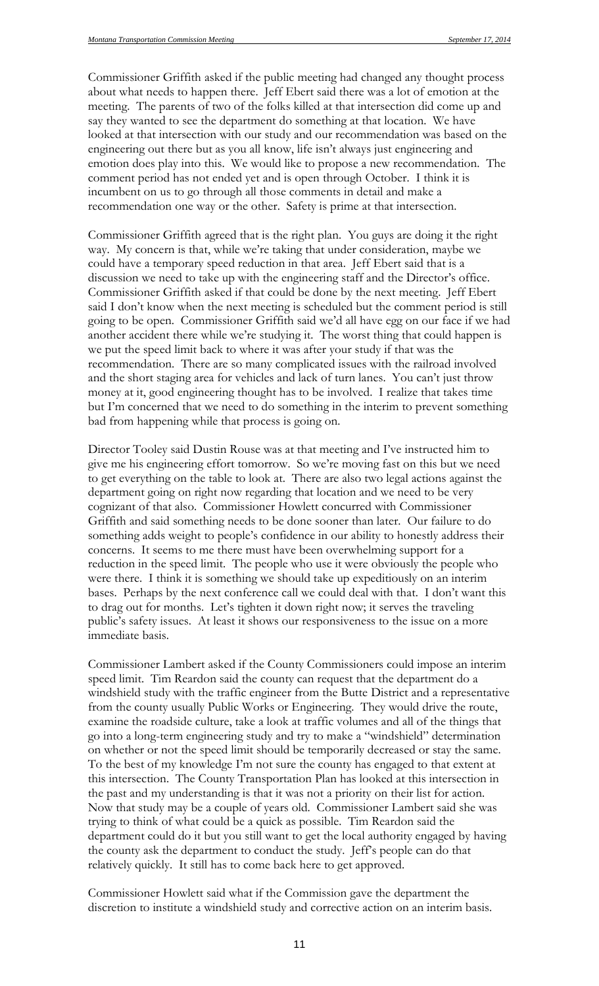Commissioner Griffith asked if the public meeting had changed any thought process about what needs to happen there. Jeff Ebert said there was a lot of emotion at the meeting. The parents of two of the folks killed at that intersection did come up and say they wanted to see the department do something at that location. We have looked at that intersection with our study and our recommendation was based on the engineering out there but as you all know, life isn't always just engineering and emotion does play into this. We would like to propose a new recommendation. The comment period has not ended yet and is open through October. I think it is incumbent on us to go through all those comments in detail and make a recommendation one way or the other. Safety is prime at that intersection.

Commissioner Griffith agreed that is the right plan. You guys are doing it the right way. My concern is that, while we're taking that under consideration, maybe we could have a temporary speed reduction in that area. Jeff Ebert said that is a discussion we need to take up with the engineering staff and the Director's office. Commissioner Griffith asked if that could be done by the next meeting. Jeff Ebert said I don't know when the next meeting is scheduled but the comment period is still going to be open. Commissioner Griffith said we'd all have egg on our face if we had another accident there while we're studying it. The worst thing that could happen is we put the speed limit back to where it was after your study if that was the recommendation. There are so many complicated issues with the railroad involved and the short staging area for vehicles and lack of turn lanes. You can't just throw money at it, good engineering thought has to be involved. I realize that takes time but I'm concerned that we need to do something in the interim to prevent something bad from happening while that process is going on.

Director Tooley said Dustin Rouse was at that meeting and I've instructed him to give me his engineering effort tomorrow. So we're moving fast on this but we need to get everything on the table to look at. There are also two legal actions against the department going on right now regarding that location and we need to be very cognizant of that also. Commissioner Howlett concurred with Commissioner Griffith and said something needs to be done sooner than later. Our failure to do something adds weight to people's confidence in our ability to honestly address their concerns. It seems to me there must have been overwhelming support for a reduction in the speed limit. The people who use it were obviously the people who were there. I think it is something we should take up expeditiously on an interim bases. Perhaps by the next conference call we could deal with that. I don't want this to drag out for months. Let's tighten it down right now; it serves the traveling public's safety issues. At least it shows our responsiveness to the issue on a more immediate basis.

Commissioner Lambert asked if the County Commissioners could impose an interim speed limit. Tim Reardon said the county can request that the department do a windshield study with the traffic engineer from the Butte District and a representative from the county usually Public Works or Engineering. They would drive the route, examine the roadside culture, take a look at traffic volumes and all of the things that go into a long-term engineering study and try to make a "windshield" determination on whether or not the speed limit should be temporarily decreased or stay the same. To the best of my knowledge I'm not sure the county has engaged to that extent at this intersection. The County Transportation Plan has looked at this intersection in the past and my understanding is that it was not a priority on their list for action. Now that study may be a couple of years old. Commissioner Lambert said she was trying to think of what could be a quick as possible. Tim Reardon said the department could do it but you still want to get the local authority engaged by having the county ask the department to conduct the study. Jeff's people can do that relatively quickly. It still has to come back here to get approved.

Commissioner Howlett said what if the Commission gave the department the discretion to institute a windshield study and corrective action on an interim basis.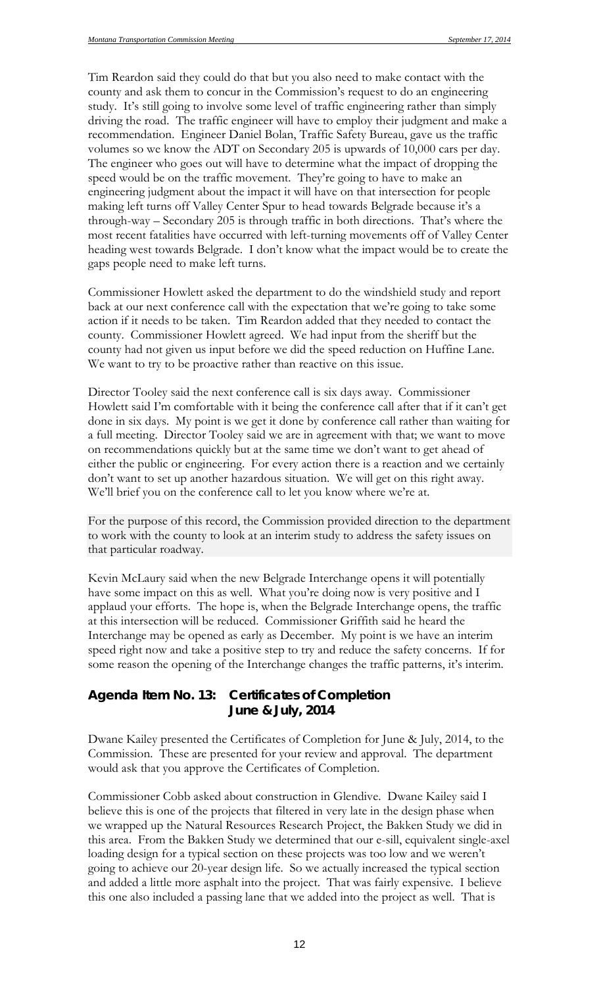Tim Reardon said they could do that but you also need to make contact with the county and ask them to concur in the Commission's request to do an engineering study. It's still going to involve some level of traffic engineering rather than simply driving the road. The traffic engineer will have to employ their judgment and make a recommendation. Engineer Daniel Bolan, Traffic Safety Bureau, gave us the traffic volumes so we know the ADT on Secondary 205 is upwards of 10,000 cars per day. The engineer who goes out will have to determine what the impact of dropping the speed would be on the traffic movement. They're going to have to make an engineering judgment about the impact it will have on that intersection for people making left turns off Valley Center Spur to head towards Belgrade because it's a through-way – Secondary 205 is through traffic in both directions. That's where the most recent fatalities have occurred with left-turning movements off of Valley Center heading west towards Belgrade. I don't know what the impact would be to create the gaps people need to make left turns.

Commissioner Howlett asked the department to do the windshield study and report back at our next conference call with the expectation that we're going to take some action if it needs to be taken. Tim Reardon added that they needed to contact the county. Commissioner Howlett agreed. We had input from the sheriff but the county had not given us input before we did the speed reduction on Huffine Lane. We want to try to be proactive rather than reactive on this issue.

Director Tooley said the next conference call is six days away. Commissioner Howlett said I'm comfortable with it being the conference call after that if it can't get done in six days. My point is we get it done by conference call rather than waiting for a full meeting. Director Tooley said we are in agreement with that; we want to move on recommendations quickly but at the same time we don't want to get ahead of either the public or engineering. For every action there is a reaction and we certainly don't want to set up another hazardous situation. We will get on this right away. We'll brief you on the conference call to let you know where we're at.

For the purpose of this record, the Commission provided direction to the department to work with the county to look at an interim study to address the safety issues on that particular roadway.

Kevin McLaury said when the new Belgrade Interchange opens it will potentially have some impact on this as well. What you're doing now is very positive and I applaud your efforts. The hope is, when the Belgrade Interchange opens, the traffic at this intersection will be reduced. Commissioner Griffith said he heard the Interchange may be opened as early as December. My point is we have an interim speed right now and take a positive step to try and reduce the safety concerns. If for some reason the opening of the Interchange changes the traffic patterns, it's interim.

### *Agenda Item No. 13: Certificates of Completion June & July, 2014*

Dwane Kailey presented the Certificates of Completion for June & July, 2014, to the Commission. These are presented for your review and approval. The department would ask that you approve the Certificates of Completion.

Commissioner Cobb asked about construction in Glendive. Dwane Kailey said I believe this is one of the projects that filtered in very late in the design phase when we wrapped up the Natural Resources Research Project, the Bakken Study we did in this area. From the Bakken Study we determined that our e-sill, equivalent single-axel loading design for a typical section on these projects was too low and we weren't going to achieve our 20-year design life. So we actually increased the typical section and added a little more asphalt into the project. That was fairly expensive. I believe this one also included a passing lane that we added into the project as well. That is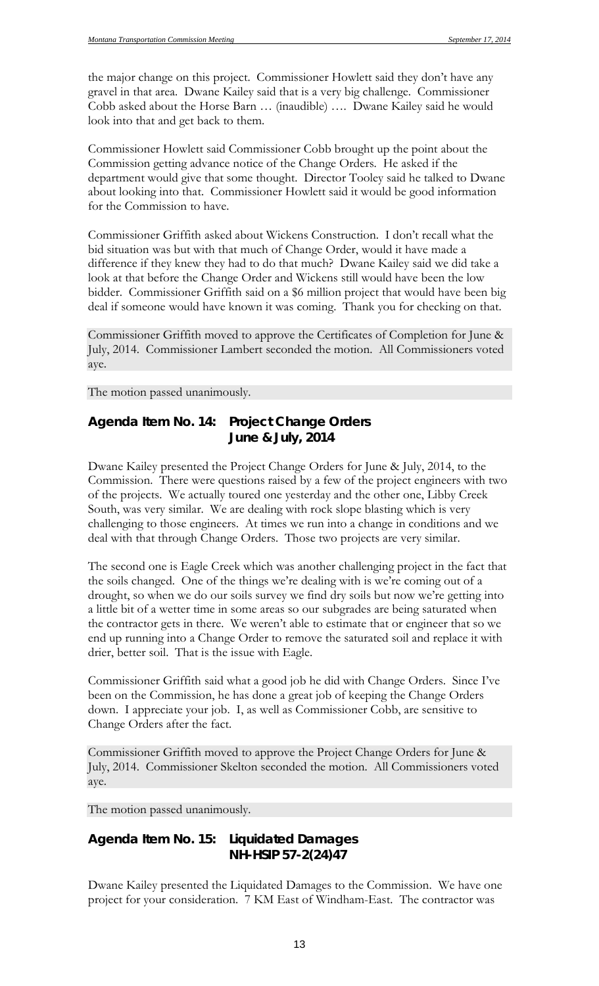the major change on this project. Commissioner Howlett said they don't have any gravel in that area. Dwane Kailey said that is a very big challenge. Commissioner Cobb asked about the Horse Barn … (inaudible) …. Dwane Kailey said he would look into that and get back to them.

Commissioner Howlett said Commissioner Cobb brought up the point about the Commission getting advance notice of the Change Orders. He asked if the department would give that some thought. Director Tooley said he talked to Dwane about looking into that. Commissioner Howlett said it would be good information for the Commission to have.

Commissioner Griffith asked about Wickens Construction. I don't recall what the bid situation was but with that much of Change Order, would it have made a difference if they knew they had to do that much? Dwane Kailey said we did take a look at that before the Change Order and Wickens still would have been the low bidder. Commissioner Griffith said on a \$6 million project that would have been big deal if someone would have known it was coming. Thank you for checking on that.

Commissioner Griffith moved to approve the Certificates of Completion for June & July, 2014. Commissioner Lambert seconded the motion. All Commissioners voted aye.

The motion passed unanimously.

## *Agenda Item No. 14: Project Change Orders June & July, 2014*

Dwane Kailey presented the Project Change Orders for June & July, 2014, to the Commission. There were questions raised by a few of the project engineers with two of the projects. We actually toured one yesterday and the other one, Libby Creek South, was very similar. We are dealing with rock slope blasting which is very challenging to those engineers. At times we run into a change in conditions and we deal with that through Change Orders. Those two projects are very similar.

The second one is Eagle Creek which was another challenging project in the fact that the soils changed. One of the things we're dealing with is we're coming out of a drought, so when we do our soils survey we find dry soils but now we're getting into a little bit of a wetter time in some areas so our subgrades are being saturated when the contractor gets in there. We weren't able to estimate that or engineer that so we end up running into a Change Order to remove the saturated soil and replace it with drier, better soil. That is the issue with Eagle.

Commissioner Griffith said what a good job he did with Change Orders. Since I've been on the Commission, he has done a great job of keeping the Change Orders down. I appreciate your job. I, as well as Commissioner Cobb, are sensitive to Change Orders after the fact.

Commissioner Griffith moved to approve the Project Change Orders for June & July, 2014. Commissioner Skelton seconded the motion. All Commissioners voted aye.

The motion passed unanimously.

## *Agenda Item No. 15: Liquidated Damages NH-HSIP 57-2(24)47*

Dwane Kailey presented the Liquidated Damages to the Commission. We have one project for your consideration. 7 KM East of Windham-East. The contractor was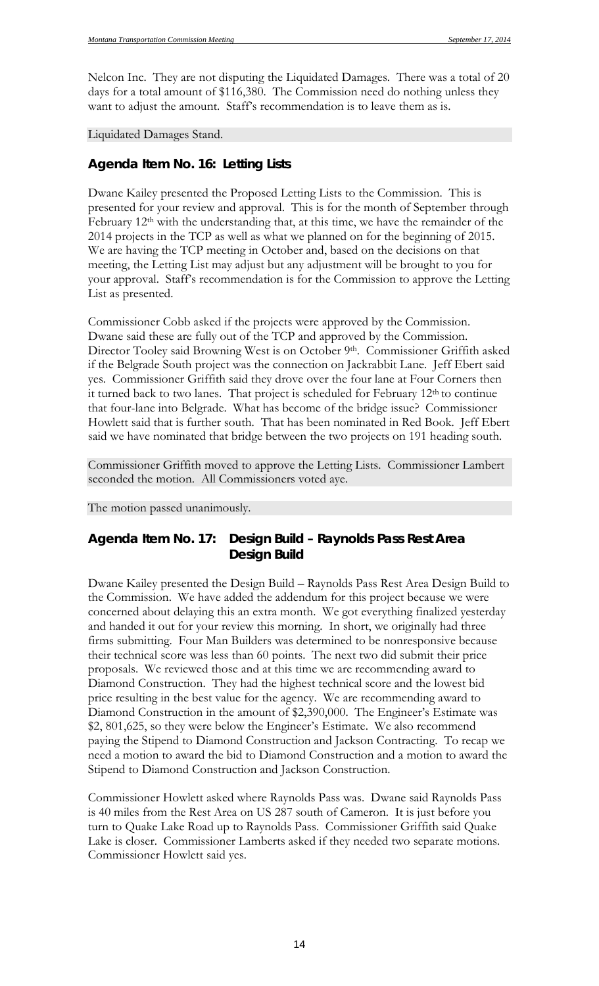Nelcon Inc. They are not disputing the Liquidated Damages. There was a total of 20 days for a total amount of \$116,380. The Commission need do nothing unless they want to adjust the amount. Staff's recommendation is to leave them as is.

Liquidated Damages Stand.

#### *Agenda Item No. 16: Letting Lists*

Dwane Kailey presented the Proposed Letting Lists to the Commission. This is presented for your review and approval. This is for the month of September through February 12<sup>th</sup> with the understanding that, at this time, we have the remainder of the 2014 projects in the TCP as well as what we planned on for the beginning of 2015. We are having the TCP meeting in October and, based on the decisions on that meeting, the Letting List may adjust but any adjustment will be brought to you for your approval. Staff's recommendation is for the Commission to approve the Letting List as presented.

Commissioner Cobb asked if the projects were approved by the Commission. Dwane said these are fully out of the TCP and approved by the Commission. Director Tooley said Browning West is on October 9th. Commissioner Griffith asked if the Belgrade South project was the connection on Jackrabbit Lane. Jeff Ebert said yes. Commissioner Griffith said they drove over the four lane at Four Corners then it turned back to two lanes. That project is scheduled for February 12<sup>th</sup> to continue that four-lane into Belgrade. What has become of the bridge issue? Commissioner Howlett said that is further south. That has been nominated in Red Book. Jeff Ebert said we have nominated that bridge between the two projects on 191 heading south.

Commissioner Griffith moved to approve the Letting Lists. Commissioner Lambert seconded the motion. All Commissioners voted aye.

#### The motion passed unanimously.

### *Agenda Item No. 17: Design Build – Raynolds Pass Rest Area Design Build*

Dwane Kailey presented the Design Build – Raynolds Pass Rest Area Design Build to the Commission. We have added the addendum for this project because we were concerned about delaying this an extra month. We got everything finalized yesterday and handed it out for your review this morning. In short, we originally had three firms submitting. Four Man Builders was determined to be nonresponsive because their technical score was less than 60 points. The next two did submit their price proposals. We reviewed those and at this time we are recommending award to Diamond Construction. They had the highest technical score and the lowest bid price resulting in the best value for the agency. We are recommending award to Diamond Construction in the amount of \$2,390,000. The Engineer's Estimate was \$2, 801,625, so they were below the Engineer's Estimate. We also recommend paying the Stipend to Diamond Construction and Jackson Contracting. To recap we need a motion to award the bid to Diamond Construction and a motion to award the Stipend to Diamond Construction and Jackson Construction.

Commissioner Howlett asked where Raynolds Pass was. Dwane said Raynolds Pass is 40 miles from the Rest Area on US 287 south of Cameron. It is just before you turn to Quake Lake Road up to Raynolds Pass. Commissioner Griffith said Quake Lake is closer. Commissioner Lamberts asked if they needed two separate motions. Commissioner Howlett said yes.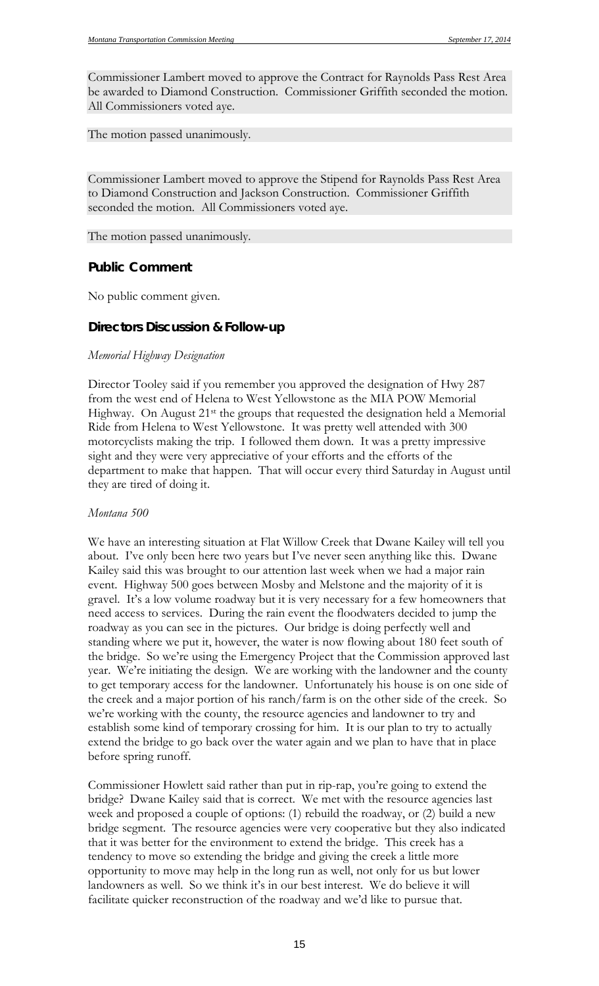Commissioner Lambert moved to approve the Contract for Raynolds Pass Rest Area be awarded to Diamond Construction. Commissioner Griffith seconded the motion. All Commissioners voted aye.

The motion passed unanimously.

Commissioner Lambert moved to approve the Stipend for Raynolds Pass Rest Area to Diamond Construction and Jackson Construction. Commissioner Griffith seconded the motion. All Commissioners voted aye.

The motion passed unanimously.

#### *Public Comment*

No public comment given.

#### *Directors Discussion & Follow-up*

#### *Memorial Highway Designation*

Director Tooley said if you remember you approved the designation of Hwy 287 from the west end of Helena to West Yellowstone as the MIA POW Memorial Highway. On August 21<sup>st</sup> the groups that requested the designation held a Memorial Ride from Helena to West Yellowstone. It was pretty well attended with 300 motorcyclists making the trip. I followed them down. It was a pretty impressive sight and they were very appreciative of your efforts and the efforts of the department to make that happen. That will occur every third Saturday in August until they are tired of doing it.

#### *Montana 500*

We have an interesting situation at Flat Willow Creek that Dwane Kailey will tell you about. I've only been here two years but I've never seen anything like this. Dwane Kailey said this was brought to our attention last week when we had a major rain event. Highway 500 goes between Mosby and Melstone and the majority of it is gravel. It's a low volume roadway but it is very necessary for a few homeowners that need access to services. During the rain event the floodwaters decided to jump the roadway as you can see in the pictures. Our bridge is doing perfectly well and standing where we put it, however, the water is now flowing about 180 feet south of the bridge. So we're using the Emergency Project that the Commission approved last year. We're initiating the design. We are working with the landowner and the county to get temporary access for the landowner. Unfortunately his house is on one side of the creek and a major portion of his ranch/farm is on the other side of the creek. So we're working with the county, the resource agencies and landowner to try and establish some kind of temporary crossing for him. It is our plan to try to actually extend the bridge to go back over the water again and we plan to have that in place before spring runoff.

Commissioner Howlett said rather than put in rip-rap, you're going to extend the bridge? Dwane Kailey said that is correct. We met with the resource agencies last week and proposed a couple of options: (1) rebuild the roadway, or (2) build a new bridge segment. The resource agencies were very cooperative but they also indicated that it was better for the environment to extend the bridge. This creek has a tendency to move so extending the bridge and giving the creek a little more opportunity to move may help in the long run as well, not only for us but lower landowners as well. So we think it's in our best interest. We do believe it will facilitate quicker reconstruction of the roadway and we'd like to pursue that.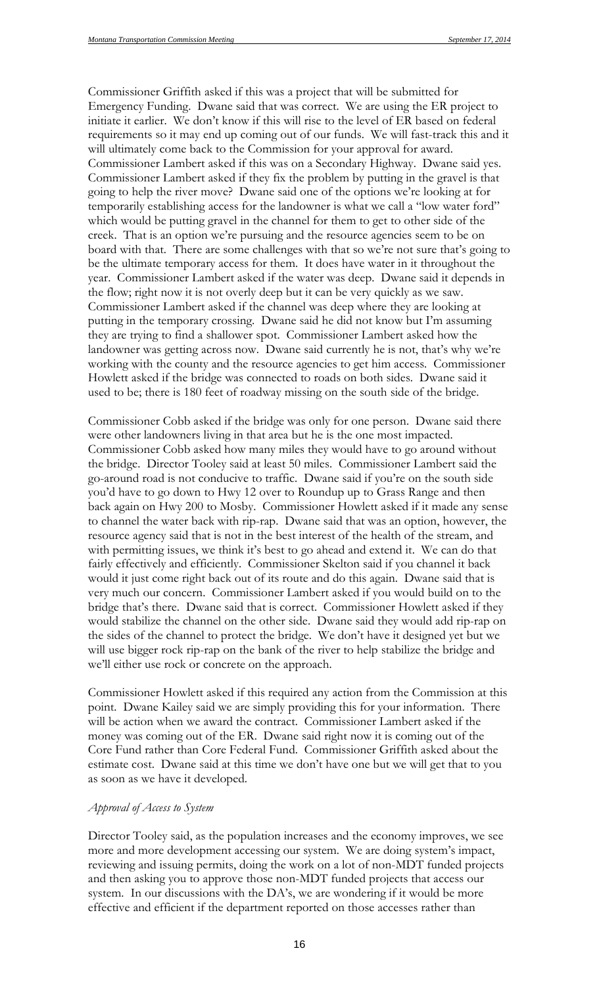Commissioner Griffith asked if this was a project that will be submitted for Emergency Funding. Dwane said that was correct. We are using the ER project to initiate it earlier. We don't know if this will rise to the level of ER based on federal requirements so it may end up coming out of our funds. We will fast-track this and it will ultimately come back to the Commission for your approval for award. Commissioner Lambert asked if this was on a Secondary Highway. Dwane said yes. Commissioner Lambert asked if they fix the problem by putting in the gravel is that going to help the river move? Dwane said one of the options we're looking at for temporarily establishing access for the landowner is what we call a "low water ford" which would be putting gravel in the channel for them to get to other side of the creek. That is an option we're pursuing and the resource agencies seem to be on board with that. There are some challenges with that so we're not sure that's going to be the ultimate temporary access for them. It does have water in it throughout the year. Commissioner Lambert asked if the water was deep. Dwane said it depends in the flow; right now it is not overly deep but it can be very quickly as we saw. Commissioner Lambert asked if the channel was deep where they are looking at putting in the temporary crossing. Dwane said he did not know but I'm assuming they are trying to find a shallower spot. Commissioner Lambert asked how the landowner was getting across now. Dwane said currently he is not, that's why we're working with the county and the resource agencies to get him access. Commissioner Howlett asked if the bridge was connected to roads on both sides. Dwane said it used to be; there is 180 feet of roadway missing on the south side of the bridge.

Commissioner Cobb asked if the bridge was only for one person. Dwane said there were other landowners living in that area but he is the one most impacted. Commissioner Cobb asked how many miles they would have to go around without the bridge. Director Tooley said at least 50 miles. Commissioner Lambert said the go-around road is not conducive to traffic. Dwane said if you're on the south side you'd have to go down to Hwy 12 over to Roundup up to Grass Range and then back again on Hwy 200 to Mosby. Commissioner Howlett asked if it made any sense to channel the water back with rip-rap. Dwane said that was an option, however, the resource agency said that is not in the best interest of the health of the stream, and with permitting issues, we think it's best to go ahead and extend it. We can do that fairly effectively and efficiently. Commissioner Skelton said if you channel it back would it just come right back out of its route and do this again. Dwane said that is very much our concern. Commissioner Lambert asked if you would build on to the bridge that's there. Dwane said that is correct. Commissioner Howlett asked if they would stabilize the channel on the other side. Dwane said they would add rip-rap on the sides of the channel to protect the bridge. We don't have it designed yet but we will use bigger rock rip-rap on the bank of the river to help stabilize the bridge and we'll either use rock or concrete on the approach.

Commissioner Howlett asked if this required any action from the Commission at this point. Dwane Kailey said we are simply providing this for your information. There will be action when we award the contract. Commissioner Lambert asked if the money was coming out of the ER. Dwane said right now it is coming out of the Core Fund rather than Core Federal Fund. Commissioner Griffith asked about the estimate cost. Dwane said at this time we don't have one but we will get that to you as soon as we have it developed.

#### *Approval of Access to System*

Director Tooley said, as the population increases and the economy improves, we see more and more development accessing our system. We are doing system's impact, reviewing and issuing permits, doing the work on a lot of non-MDT funded projects and then asking you to approve those non-MDT funded projects that access our system. In our discussions with the DA's, we are wondering if it would be more effective and efficient if the department reported on those accesses rather than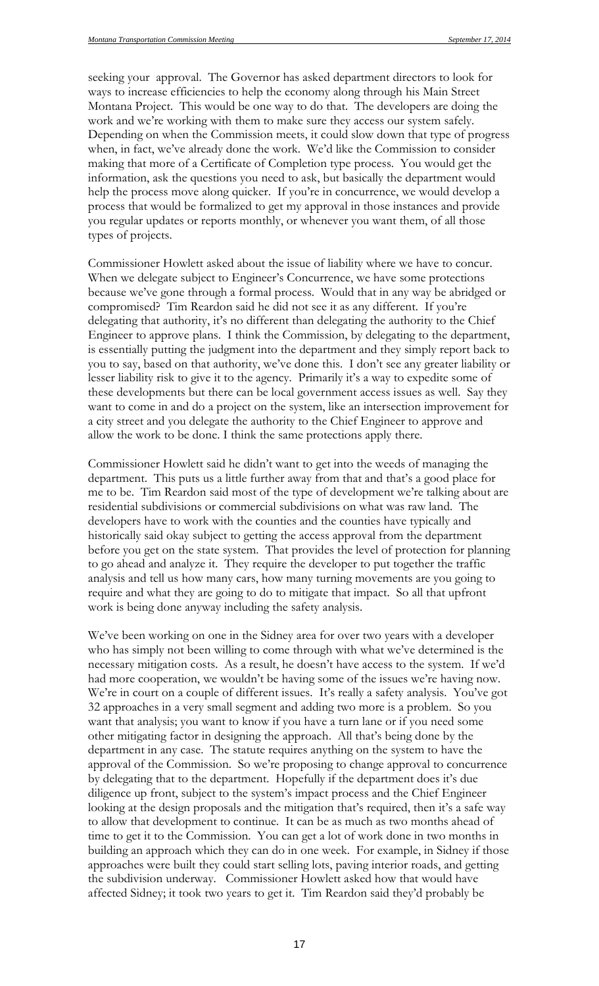seeking your approval. The Governor has asked department directors to look for ways to increase efficiencies to help the economy along through his Main Street Montana Project. This would be one way to do that. The developers are doing the work and we're working with them to make sure they access our system safely. Depending on when the Commission meets, it could slow down that type of progress when, in fact, we've already done the work. We'd like the Commission to consider making that more of a Certificate of Completion type process. You would get the information, ask the questions you need to ask, but basically the department would help the process move along quicker. If you're in concurrence, we would develop a process that would be formalized to get my approval in those instances and provide you regular updates or reports monthly, or whenever you want them, of all those types of projects.

Commissioner Howlett asked about the issue of liability where we have to concur. When we delegate subject to Engineer's Concurrence, we have some protections because we've gone through a formal process. Would that in any way be abridged or compromised? Tim Reardon said he did not see it as any different. If you're delegating that authority, it's no different than delegating the authority to the Chief Engineer to approve plans. I think the Commission, by delegating to the department, is essentially putting the judgment into the department and they simply report back to you to say, based on that authority, we've done this. I don't see any greater liability or lesser liability risk to give it to the agency. Primarily it's a way to expedite some of these developments but there can be local government access issues as well. Say they want to come in and do a project on the system, like an intersection improvement for a city street and you delegate the authority to the Chief Engineer to approve and allow the work to be done. I think the same protections apply there.

Commissioner Howlett said he didn't want to get into the weeds of managing the department. This puts us a little further away from that and that's a good place for me to be. Tim Reardon said most of the type of development we're talking about are residential subdivisions or commercial subdivisions on what was raw land. The developers have to work with the counties and the counties have typically and historically said okay subject to getting the access approval from the department before you get on the state system. That provides the level of protection for planning to go ahead and analyze it. They require the developer to put together the traffic analysis and tell us how many cars, how many turning movements are you going to require and what they are going to do to mitigate that impact. So all that upfront work is being done anyway including the safety analysis.

We've been working on one in the Sidney area for over two years with a developer who has simply not been willing to come through with what we've determined is the necessary mitigation costs. As a result, he doesn't have access to the system. If we'd had more cooperation, we wouldn't be having some of the issues we're having now. We're in court on a couple of different issues. It's really a safety analysis. You've got 32 approaches in a very small segment and adding two more is a problem. So you want that analysis; you want to know if you have a turn lane or if you need some other mitigating factor in designing the approach. All that's being done by the department in any case. The statute requires anything on the system to have the approval of the Commission. So we're proposing to change approval to concurrence by delegating that to the department. Hopefully if the department does it's due diligence up front, subject to the system's impact process and the Chief Engineer looking at the design proposals and the mitigation that's required, then it's a safe way to allow that development to continue. It can be as much as two months ahead of time to get it to the Commission. You can get a lot of work done in two months in building an approach which they can do in one week. For example, in Sidney if those approaches were built they could start selling lots, paving interior roads, and getting the subdivision underway. Commissioner Howlett asked how that would have affected Sidney; it took two years to get it. Tim Reardon said they'd probably be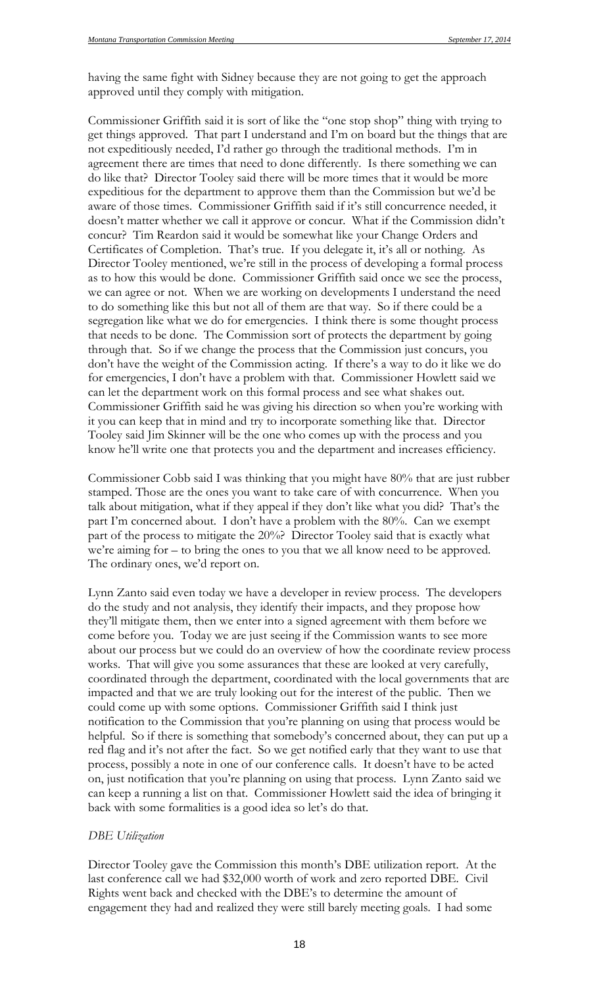having the same fight with Sidney because they are not going to get the approach approved until they comply with mitigation.

Commissioner Griffith said it is sort of like the "one stop shop" thing with trying to get things approved. That part I understand and I'm on board but the things that are not expeditiously needed, I'd rather go through the traditional methods. I'm in agreement there are times that need to done differently. Is there something we can do like that? Director Tooley said there will be more times that it would be more expeditious for the department to approve them than the Commission but we'd be aware of those times. Commissioner Griffith said if it's still concurrence needed, it doesn't matter whether we call it approve or concur. What if the Commission didn't concur? Tim Reardon said it would be somewhat like your Change Orders and Certificates of Completion. That's true. If you delegate it, it's all or nothing. As Director Tooley mentioned, we're still in the process of developing a formal process as to how this would be done. Commissioner Griffith said once we see the process, we can agree or not. When we are working on developments I understand the need to do something like this but not all of them are that way. So if there could be a segregation like what we do for emergencies. I think there is some thought process that needs to be done. The Commission sort of protects the department by going through that. So if we change the process that the Commission just concurs, you don't have the weight of the Commission acting. If there's a way to do it like we do for emergencies, I don't have a problem with that. Commissioner Howlett said we can let the department work on this formal process and see what shakes out. Commissioner Griffith said he was giving his direction so when you're working with it you can keep that in mind and try to incorporate something like that. Director Tooley said Jim Skinner will be the one who comes up with the process and you know he'll write one that protects you and the department and increases efficiency.

Commissioner Cobb said I was thinking that you might have 80% that are just rubber stamped. Those are the ones you want to take care of with concurrence. When you talk about mitigation, what if they appeal if they don't like what you did? That's the part I'm concerned about. I don't have a problem with the 80%. Can we exempt part of the process to mitigate the 20%? Director Tooley said that is exactly what we're aiming for – to bring the ones to you that we all know need to be approved. The ordinary ones, we'd report on.

Lynn Zanto said even today we have a developer in review process. The developers do the study and not analysis, they identify their impacts, and they propose how they'll mitigate them, then we enter into a signed agreement with them before we come before you. Today we are just seeing if the Commission wants to see more about our process but we could do an overview of how the coordinate review process works. That will give you some assurances that these are looked at very carefully, coordinated through the department, coordinated with the local governments that are impacted and that we are truly looking out for the interest of the public. Then we could come up with some options. Commissioner Griffith said I think just notification to the Commission that you're planning on using that process would be helpful. So if there is something that somebody's concerned about, they can put up a red flag and it's not after the fact. So we get notified early that they want to use that process, possibly a note in one of our conference calls. It doesn't have to be acted on, just notification that you're planning on using that process. Lynn Zanto said we can keep a running a list on that. Commissioner Howlett said the idea of bringing it back with some formalities is a good idea so let's do that.

#### *DBE Utilization*

Director Tooley gave the Commission this month's DBE utilization report. At the last conference call we had \$32,000 worth of work and zero reported DBE. Civil Rights went back and checked with the DBE's to determine the amount of engagement they had and realized they were still barely meeting goals. I had some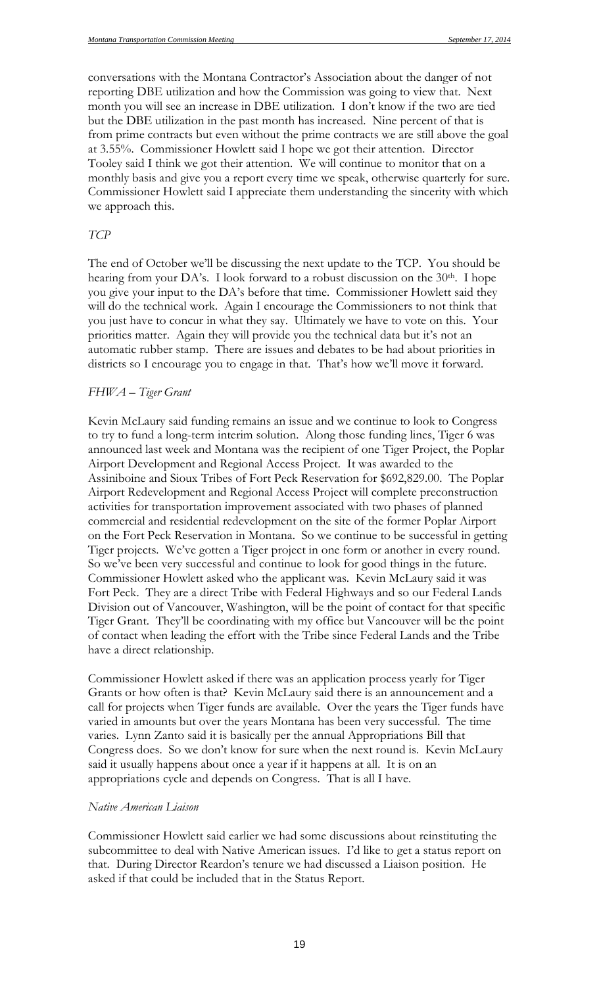conversations with the Montana Contractor's Association about the danger of not reporting DBE utilization and how the Commission was going to view that. Next month you will see an increase in DBE utilization. I don't know if the two are tied but the DBE utilization in the past month has increased. Nine percent of that is from prime contracts but even without the prime contracts we are still above the goal at 3.55%. Commissioner Howlett said I hope we got their attention. Director Tooley said I think we got their attention. We will continue to monitor that on a monthly basis and give you a report every time we speak, otherwise quarterly for sure. Commissioner Howlett said I appreciate them understanding the sincerity with which we approach this.

#### *TCP*

The end of October we'll be discussing the next update to the TCP. You should be hearing from your DA's. I look forward to a robust discussion on the 30<sup>th</sup>. I hope you give your input to the DA's before that time. Commissioner Howlett said they will do the technical work. Again I encourage the Commissioners to not think that you just have to concur in what they say. Ultimately we have to vote on this. Your priorities matter. Again they will provide you the technical data but it's not an automatic rubber stamp. There are issues and debates to be had about priorities in districts so I encourage you to engage in that. That's how we'll move it forward.

#### *FHWA – Tiger Grant*

Kevin McLaury said funding remains an issue and we continue to look to Congress to try to fund a long-term interim solution. Along those funding lines, Tiger 6 was announced last week and Montana was the recipient of one Tiger Project, the Poplar Airport Development and Regional Access Project. It was awarded to the Assiniboine and Sioux Tribes of Fort Peck Reservation for \$692,829.00. The Poplar Airport Redevelopment and Regional Access Project will complete preconstruction activities for transportation improvement associated with two phases of planned commercial and residential redevelopment on the site of the former Poplar Airport on the Fort Peck Reservation in Montana. So we continue to be successful in getting Tiger projects. We've gotten a Tiger project in one form or another in every round. So we've been very successful and continue to look for good things in the future. Commissioner Howlett asked who the applicant was. Kevin McLaury said it was Fort Peck. They are a direct Tribe with Federal Highways and so our Federal Lands Division out of Vancouver, Washington, will be the point of contact for that specific Tiger Grant. They'll be coordinating with my office but Vancouver will be the point of contact when leading the effort with the Tribe since Federal Lands and the Tribe have a direct relationship.

Commissioner Howlett asked if there was an application process yearly for Tiger Grants or how often is that? Kevin McLaury said there is an announcement and a call for projects when Tiger funds are available. Over the years the Tiger funds have varied in amounts but over the years Montana has been very successful. The time varies. Lynn Zanto said it is basically per the annual Appropriations Bill that Congress does. So we don't know for sure when the next round is. Kevin McLaury said it usually happens about once a year if it happens at all. It is on an appropriations cycle and depends on Congress. That is all I have.

#### *Native American Liaison*

Commissioner Howlett said earlier we had some discussions about reinstituting the subcommittee to deal with Native American issues. I'd like to get a status report on that. During Director Reardon's tenure we had discussed a Liaison position. He asked if that could be included that in the Status Report.